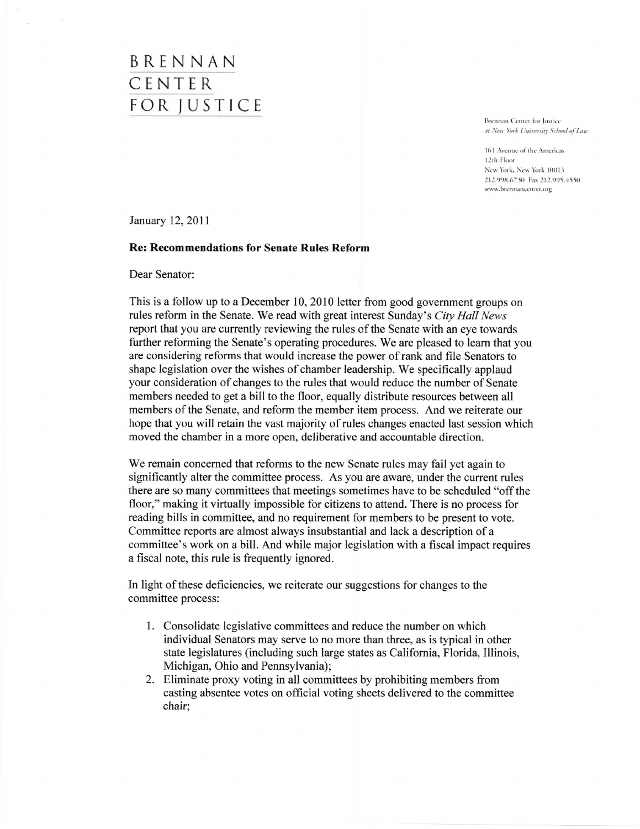## BRENNAN CENTER FOR JUSTICE

Brennan Center for lustice at New York University School of Law

161 Avenue of the Americas 12th Floor New York, New York 10013 212.998.6730 Fax 212.995.4550 www.brennancenter.org

January l2,20ll

## Re: Recommendations for Senate Rules Reform

Dear Senator:

This is a follow up to a December 10, 2010 letter from good government groups on rules reform in the Senate. We read with great interest Sunday's City Hall News report that you are currently reviewing the rules of the Senate with an eye towards further reforming the Senate's operating procedures. We are pleased to learn that you are considering reforms that would increase the power of rank and file Senators to shape legislation over the wishes of chamber leadership. We specifically applaud your consideration of changes to the rules that would reduce the number of Senate members needed to get a bill to the floor, equally distribute resources between all members of the Senate, and reform the member item process. And we reiterate our hope that you will retain the vast majority of rules changes enacted last session which moved the chamber in a more open, deliberative and accountable direction.

We remain concerned that reforms to the new Senate rules may fail yet again to significantly alter the committee process. As you are aware, under the curent rules there are so many committees that meetings sometimes have to be scheduled "offthe floor," making it virtually impossible for citizens to attend. There is no process for reading bills in committee, and no requirement for members to be present to vote. Committee reports are almost always insubstantial and lack a description of a committee's work on a bill. And while major legislation with a fiscal impact requires a fiscal note, this rule is frequently ignored.

In light of these deficiencies, we reiterate our suggestions for changes to the committee process:

- 1. Consolidate legislative committees and reduce the number on which individual Senators may serve to no more than three, as is typical in other state legislatures (including such large states as California, Florida, Illinois, Michigan, Ohio and Pennsylvania);
- Eliminate proxy voting in all committees by prohibiting members from 2.casting absentee votes on official voting sheets delivered to the committee chair;